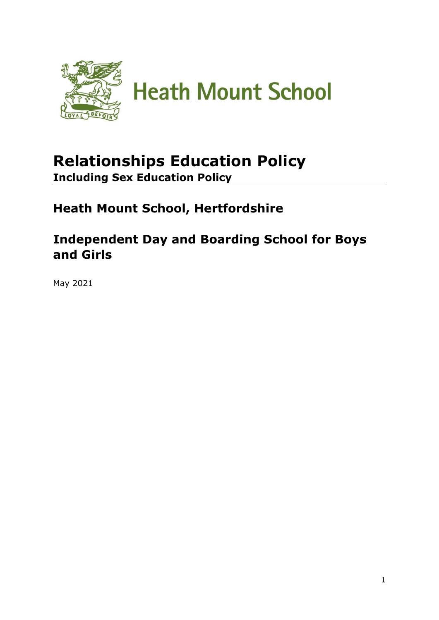

# **Relationships Education Policy Including Sex Education Policy**

**Heath Mount School, Hertfordshire**

**Independent Day and Boarding School for Boys and Girls**

May 2021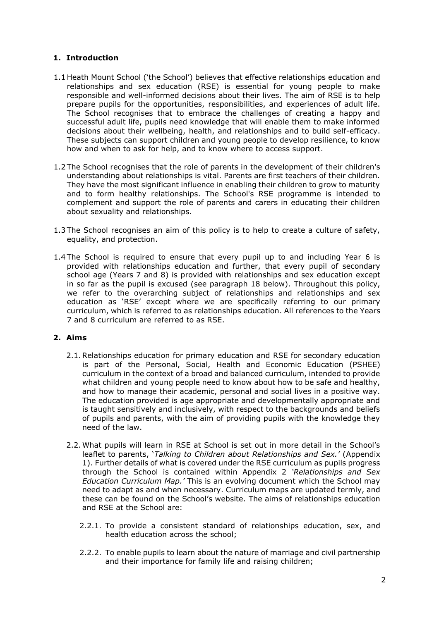# **1. Introduction**

- 1.1 Heath Mount School ('the School') believes that effective relationships education and relationships and sex education (RSE) is essential for young people to make responsible and well-informed decisions about their lives. The aim of RSE is to help prepare pupils for the opportunities, responsibilities, and experiences of adult life. The School recognises that to embrace the challenges of creating a happy and successful adult life, pupils need knowledge that will enable them to make informed decisions about their wellbeing, health, and relationships and to build self-efficacy. These subjects can support children and young people to develop resilience, to know how and when to ask for help, and to know where to access support.
- 1.2 The School recognises that the role of parents in the development of their children's understanding about relationships is vital. Parents are first teachers of their children. They have the most significant influence in enabling their children to grow to maturity and to form healthy relationships. The School's RSE programme is intended to complement and support the role of parents and carers in educating their children about sexuality and relationships.
- 1.3 The School recognises an aim of this policy is to help to create a culture of safety, equality, and protection.
- 1.4 The School is required to ensure that every pupil up to and including Year 6 is provided with relationships education and further, that every pupil of secondary school age (Years 7 and 8) is provided with relationships and sex education except in so far as the pupil is excused (see paragraph 18 below). Throughout this policy, we refer to the overarching subject of relationships and relationships and sex education as 'RSE' except where we are specifically referring to our primary curriculum, which is referred to as relationships education. All references to the Years 7 and 8 curriculum are referred to as RSE.

# **2. Aims**

- 2.1.Relationships education for primary education and RSE for secondary education is part of the Personal, Social, Health and Economic Education (PSHEE) curriculum in the context of a broad and balanced curriculum, intended to provide what children and young people need to know about how to be safe and healthy, and how to manage their academic, personal and social lives in a positive way. The education provided is age appropriate and developmentally appropriate and is taught sensitively and inclusively, with respect to the backgrounds and beliefs of pupils and parents, with the aim of providing pupils with the knowledge they need of the law.
- 2.2. What pupils will learn in RSE at School is set out in more detail in the School's leaflet to parents, '*Talking to Children about Relationships and Sex.'* (Appendix 1). Further details of what is covered under the RSE curriculum as pupils progress through the School is contained within Appendix 2 *'Relationships and Sex Education Curriculum Map.'* This is an evolving document which the School may need to adapt as and when necessary. Curriculum maps are updated termly, and these can be found on the School's website. The aims of relationships education and RSE at the School are:
	- 2.2.1. To provide a consistent standard of relationships education, sex, and health education across the school;
	- 2.2.2. To enable pupils to learn about the nature of marriage and civil partnership and their importance for family life and raising children;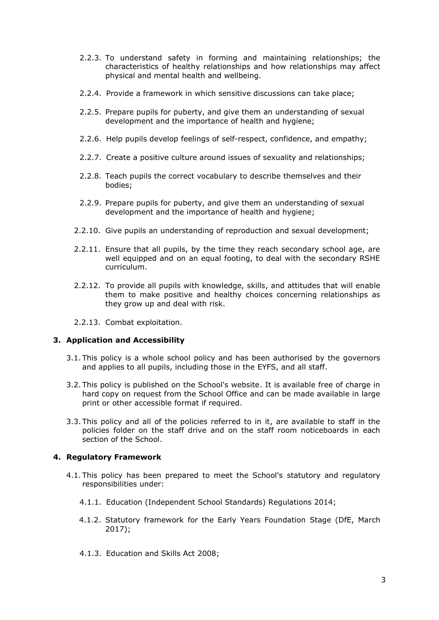- 2.2.3. To understand safety in forming and maintaining relationships; the characteristics of healthy relationships and how relationships may affect physical and mental health and wellbeing.
- 2.2.4. Provide a framework in which sensitive discussions can take place;
- 2.2.5. Prepare pupils for puberty, and give them an understanding of sexual development and the importance of health and hygiene;
- 2.2.6. Help pupils develop feelings of self-respect, confidence, and empathy;
- 2.2.7. Create a positive culture around issues of sexuality and relationships;
- 2.2.8. Teach pupils the correct vocabulary to describe themselves and their bodies;
- 2.2.9. Prepare pupils for puberty, and give them an understanding of sexual development and the importance of health and hygiene;
- 2.2.10. Give pupils an understanding of reproduction and sexual development;
- 2.2.11. Ensure that all pupils, by the time they reach secondary school age, are well equipped and on an equal footing, to deal with the secondary RSHE curriculum.
- 2.2.12. To provide all pupils with knowledge, skills, and attitudes that will enable them to make positive and healthy choices concerning relationships as they grow up and deal with risk.
- 2.2.13. Combat exploitation.

# **3. Application and Accessibility**

- 3.1. This policy is a whole school policy and has been authorised by the governors and applies to all pupils, including those in the EYFS, and all staff.
- 3.2. This policy is published on the School's website. It is available free of charge in hard copy on request from the School Office and can be made available in large print or other accessible format if required.
- 3.3. This policy and all of the policies referred to in it, are available to staff in the policies folder on the staff drive and on the staff room noticeboards in each section of the School.

# **4. Regulatory Framework**

- 4.1. This policy has been prepared to meet the School's statutory and regulatory responsibilities under:
	- 4.1.1. Education (Independent School Standards) Regulations 2014;
	- 4.1.2. Statutory framework for the Early Years Foundation Stage (DfE, March 2017);
	- 4.1.3. Education and Skills Act 2008;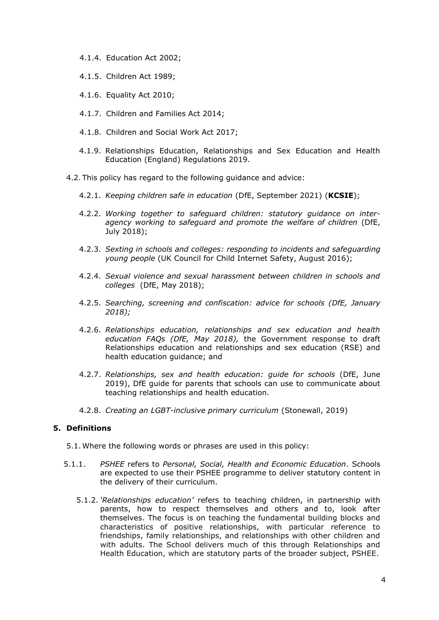- 4.1.4. Education Act 2002;
- 4.1.5. Children Act 1989;
- 4.1.6. Equality Act 2010;
- 4.1.7. Children and Families Act 2014;
- 4.1.8. Children and Social Work Act 2017;
- 4.1.9. Relationships Education, Relationships and Sex Education and Health Education (England) Regulations 2019.
- 4.2. This policy has regard to the following guidance and advice:
	- 4.2.1. *[Keeping children safe in education](https://www.gov.uk/government/publications/keeping-children-safe-in-education--2)* [\(D](https://www.gov.uk/government/publications/keeping-children-safe-in-education--2)fE, September 2021) (**KCSIE**);
	- 4.2.2. *[Working together to safeguard children: statutory guidance on inter](https://www.gov.uk/government/publications/working-together-to-safeguard-children--2)[agency working to safeguard and promote the welfare of children](https://www.gov.uk/government/publications/working-together-to-safeguard-children--2)* (DfE, July 2018);
	- 4.2.3. *[Sexting in schools and colleges: responding to incidents and safeguarding](https://www.gov.uk/government/uploads/system/uploads/attachment_data/file/609874/6_2939_SP_NCA_Sexting_In_Schools_FINAL_Update_Jan17.pdf)  [young people](https://www.gov.uk/government/uploads/system/uploads/attachment_data/file/609874/6_2939_SP_NCA_Sexting_In_Schools_FINAL_Update_Jan17.pdf)* [\(U](https://www.gov.uk/government/uploads/system/uploads/attachment_data/file/609874/6_2939_SP_NCA_Sexting_In_Schools_FINAL_Update_Jan17.pdf)K Council for Child Internet Safety, August 2016);
	- 4.2.4. *[Sexual violence and sexual harassment between children in schools and](https://www.gov.uk/government/uploads/system/uploads/attachment_data/file/667862/Sexual_Harassment_and_Sexual_Violence_-_Advice.pdf)  [colleges](https://www.gov.uk/government/uploads/system/uploads/attachment_data/file/667862/Sexual_Harassment_and_Sexual_Violence_-_Advice.pdf)* [\(](https://www.gov.uk/government/uploads/system/uploads/attachment_data/file/667862/Sexual_Harassment_and_Sexual_Violence_-_Advice.pdf)DfE, May 2018);
	- 4.2.5. *[Searching, screening and confiscation: advice for schools](https://assets.publishing.service.gov.uk/government/uploads/system/uploads/attachment_data/file/674416/Searching_screening_and_confiscation.pdf) [\(](https://assets.publishing.service.gov.uk/government/uploads/system/uploads/attachment_data/file/674416/Searching_screening_and_confiscation.pdf)DfE, January 2018);*
	- 4.2.6. *[Relationships education, relationships and sex education and health](https://www.gov.uk/government/news/relationships-education-relationships-and-sex-education-rse-and-health-education-faqs)  [education FAQs](https://www.gov.uk/government/news/relationships-education-relationships-and-sex-education-rse-and-health-education-faqs) [\(](https://www.gov.uk/government/news/relationships-education-relationships-and-sex-education-rse-and-health-education-faqs)DfE, May 2018),* the Government response to draft Relationships education and relationships and sex education (RSE) and health education guidance; and
	- 4.2.7. *[Relationships, sex and health education: guide for schools](https://assets.publishing.service.gov.uk/government/uploads/system/uploads/attachment_data/file/805781/Relationships_Education__Relationships_and_Sex_Education__RSE__and_Health_Education.pdf)* (DfE, June 2019), DfE guide for parents that schools can use to communicate about teaching relationships and health education.
	- 4.2.8. *[Creating an LGBT-inclusive primary curriculum](https://www.stonewall.org.uk/system/files/creating_an_lgbt-inclusive_primary_curriculum_2019.pdf)* [\(](https://www.stonewall.org.uk/system/files/creating_an_lgbt-inclusive_primary_curriculum_2019.pdf)Stonewall, 2019)

# **5. Definitions**

5.1. Where the following words or phrases are used in this policy:

- 5.1.1. *PSHEE* refers to *Personal, Social, Health and Economic Education*. Schools are expected to use their PSHEE programme to deliver statutory content in the delivery of their curriculum.
	- 5.1.2. *'Relationships education'* refers to teaching children, in partnership with parents, how to respect themselves and others and to, look after themselves. The focus is on teaching the fundamental building blocks and characteristics of positive relationships, with particular reference to friendships, family relationships, and relationships with other children and with adults. The School delivers much of this through Relationships and Health Education, which are statutory parts of the broader subject, PSHEE.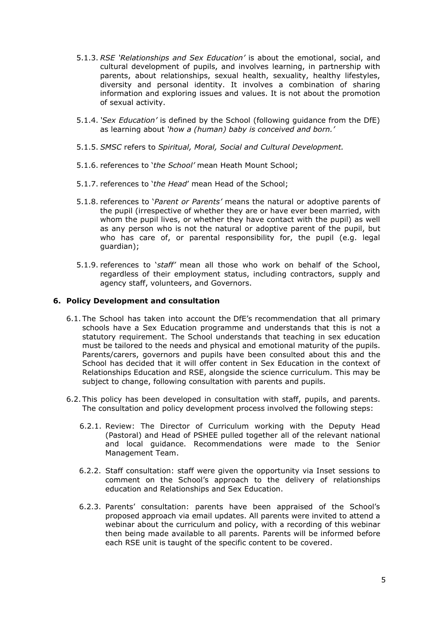- 5.1.3. *RSE 'Relationships and Sex Education'* is about the emotional, social, and cultural development of pupils, and involves learning, in partnership with parents, about relationships, sexual health, sexuality, healthy lifestyles, diversity and personal identity. It involves a combination of sharing information and exploring issues and values. It is not about the promotion of sexual activity.
- 5.1.4. *'Sex Education'* is defined by the School (following guidance from the DfE) as learning about *'how a (human) baby is conceived and born.'*
- 5.1.5. *SMSC* refers to *Spiritual, Moral, Social and Cultural Development.*
- 5.1.6. references to '*the School'* mean Heath Mount School;
- 5.1.7. references to '*the Head*' mean Head of the School;
- 5.1.8. references to '*Parent or Parents'* means the natural or adoptive parents of the pupil (irrespective of whether they are or have ever been married, with whom the pupil lives, or whether they have contact with the pupil) as well as any person who is not the natural or adoptive parent of the pupil, but who has care of, or parental responsibility for, the pupil (e.g. legal guardian);
- 5.1.9. references to '*staff'* mean all those who work on behalf of the School, regardless of their employment status, including contractors, supply and agency staff, volunteers, and Governors.

#### **6. Policy Development and consultation**

- 6.1. The School has taken into account the DfE's recommendation that all primary schools have a Sex Education programme and understands that this is not a statutory requirement. The School understands that teaching in sex education must be tailored to the needs and physical and emotional maturity of the pupils. Parents/carers, governors and pupils have been consulted about this and the School has decided that it will offer content in Sex Education in the context of Relationships Education and RSE, alongside the science curriculum. This may be subject to change, following consultation with parents and pupils.
- 6.2. This policy has been developed in consultation with staff, pupils, and parents. The consultation and policy development process involved the following steps:
	- 6.2.1. Review: The Director of Curriculum working with the Deputy Head (Pastoral) and Head of PSHEE pulled together all of the relevant national and local guidance. Recommendations were made to the Senior Management Team.
	- 6.2.2. Staff consultation: staff were given the opportunity via Inset sessions to comment on the School's approach to the delivery of relationships education and Relationships and Sex Education.
	- 6.2.3. Parents' consultation: parents have been appraised of the School's proposed approach via email updates. All parents were invited to attend a webinar about the curriculum and policy, with a recording of this webinar then being made available to all parents. Parents will be informed before each RSE unit is taught of the specific content to be covered.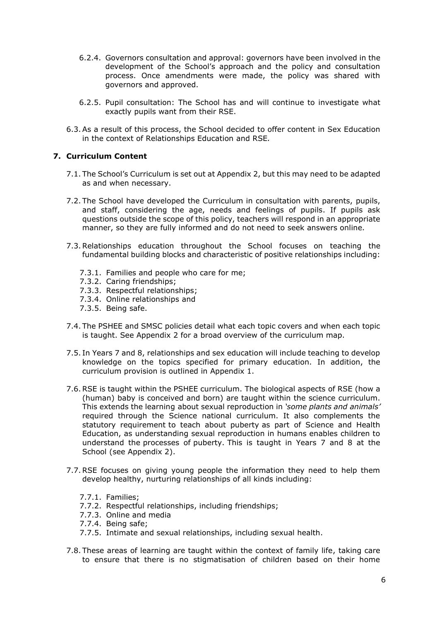- 6.2.4. Governors consultation and approval: governors have been involved in the development of the School's approach and the policy and consultation process. Once amendments were made, the policy was shared with governors and approved.
- 6.2.5. Pupil consultation: The School has and will continue to investigate what exactly pupils want from their RSE.
- 6.3.As a result of this process, the School decided to offer content in Sex Education in the context of Relationships Education and RSE*.*

#### **7. Curriculum Content**

- 7.1. The School's Curriculum is set out at Appendix 2, but this may need to be adapted as and when necessary.
- 7.2. The School have developed the Curriculum in consultation with parents, pupils, and staff, considering the age, needs and feelings of pupils. If pupils ask questions outside the scope of this policy, teachers will respond in an appropriate manner, so they are fully informed and do not need to seek answers online.
- 7.3.Relationships education throughout the School focuses on teaching the fundamental building blocks and characteristic of positive relationships including:
	- 7.3.1. Families and people who care for me;
	- 7.3.2. Caring friendships;
	- 7.3.3. Respectful relationships;
	- 7.3.4. Online relationships and
	- 7.3.5. Being safe.
- 7.4. The PSHEE and SMSC policies detail what each topic covers and when each topic is taught. See Appendix 2 for a broad overview of the curriculum map.
- 7.5. In Years 7 and 8, relationships and sex education will include teaching to develop knowledge on the topics specified for primary education. In addition, the curriculum provision is outlined in Appendix 1.
- 7.6.RSE is taught within the PSHEE curriculum. The biological aspects of RSE (how a (human) baby is conceived and born) are taught within the science curriculum. This extends the learning about sexual reproduction in *'some plants and animals'*  required through the Science national curriculum. It also complements the statutory requirement to teach about puberty as part of Science and Health Education, as understanding sexual reproduction in humans enables children to understand the processes of puberty. This is taught in Years 7 and 8 at the School (see Appendix 2).
- 7.7.RSE focuses on giving young people the information they need to help them develop healthy, nurturing relationships of all kinds including:
	- 7.7.1. Families;
	- 7.7.2. Respectful relationships, including friendships;
	- 7.7.3. Online and media
	- 7.7.4. Being safe;
	- 7.7.5. Intimate and sexual relationships, including sexual health.
- 7.8. These areas of learning are taught within the context of family life, taking care to ensure that there is no stigmatisation of children based on their home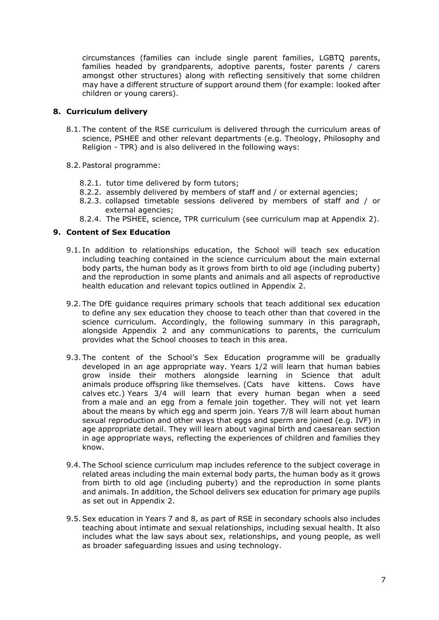circumstances (families can include single parent families, LGBTQ parents, families headed by grandparents, adoptive parents, foster parents / carers amongst other structures) along with reflecting sensitively that some children may have a different structure of support around them (for example: looked after children or young carers).

#### **8. Curriculum delivery**

- 8.1. The content of the RSE curriculum is delivered through the curriculum areas of science, PSHEE and other relevant departments (e.g. Theology, Philosophy and Religion - TPR) and is also delivered in the following ways:
- 8.2. Pastoral programme:
	- 8.2.1. tutor time delivered by form tutors;
	- 8.2.2. assembly delivered by members of staff and / or external agencies;
	- 8.2.3. collapsed timetable sessions delivered by members of staff and / or external agencies;
	- 8.2.4. The PSHEE, science, TPR curriculum (see curriculum map at Appendix 2).

#### **9. Content of Sex Education**

- 9.1. In addition to relationships education, the School will teach sex education including teaching contained in the science curriculum about the main external body parts, the human body as it grows from birth to old age (including puberty) and the reproduction in some plants and animals and all aspects of reproductive health education and relevant topics outlined in Appendix 2.
- 9.2. The DfE guidance requires primary schools that teach additional sex education to define any sex education they choose to teach other than that covered in the science curriculum. Accordingly, the following summary in this paragraph, alongside Appendix 2 and any communications to parents, the curriculum provides what the School chooses to teach in this area.
- 9.3. The content of the School's Sex Education programme will be gradually developed in an age appropriate way. Years 1/2 will learn that human babies grow inside their mothers alongside learning in Science that adult animals produce offspring like themselves. (Cats have kittens. Cows have calves etc.) Years 3/4 will learn that every human began when a seed from a male and an egg from a female join together. They will not yet learn about the means by which egg and sperm join. Years 7/8 will learn about human sexual reproduction and other ways that eggs and sperm are joined (e.g. IVF) in age appropriate detail. They will learn about vaginal birth and caesarean section in age appropriate ways, reflecting the experiences of children and families they know.
- 9.4. The School science curriculum map includes reference to the subject coverage in related areas including the main external body parts, the human body as it grows from birth to old age (including puberty) and the reproduction in some plants and animals. In addition, the School delivers sex education for primary age pupils as set out in Appendix 2.
- 9.5.Sex education in Years 7 and 8, as part of RSE in secondary schools also includes teaching about intimate and sexual relationships, including sexual health. It also includes what the law says about sex, relationships, and young people, as well as broader safeguarding issues and using technology.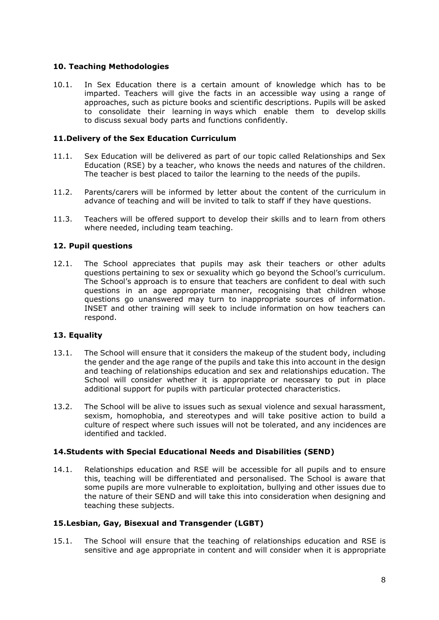# **10. Teaching Methodologies**

10.1. In Sex Education there is a certain amount of knowledge which has to be imparted. Teachers will give the facts in an accessible way using a range of approaches, such as picture books and scientific descriptions. Pupils will be asked to consolidate their learning in ways which enable them to develop skills to discuss sexual body parts and functions confidently.

# **11.Delivery of the Sex Education Curriculum**

- 11.1. Sex Education will be delivered as part of our topic called Relationships and Sex Education (RSE) by a teacher, who knows the needs and natures of the children. The teacher is best placed to tailor the learning to the needs of the pupils.
- 11.2. Parents/carers will be informed by letter about the content of the curriculum in advance of teaching and will be invited to talk to staff if they have questions.
- 11.3. Teachers will be offered support to develop their skills and to learn from others where needed, including team teaching.

# **12. Pupil questions**

12.1. The School appreciates that pupils may ask their teachers or other adults questions pertaining to sex or sexuality which go beyond the School's curriculum. The School's approach is to ensure that teachers are confident to deal with such questions in an age appropriate manner, recognising that children whose questions go unanswered may turn to inappropriate sources of information. INSET and other training will seek to include information on how teachers can respond.

#### **13. Equality**

- 13.1. The School will ensure that it considers the makeup of the student body, including the gender and the age range of the pupils and take this into account in the design and teaching of relationships education and sex and relationships education. The School will consider whether it is appropriate or necessary to put in place additional support for pupils with particular protected characteristics.
- 13.2. The School will be alive to issues such as sexual violence and sexual harassment, sexism, homophobia, and stereotypes and will take positive action to build a culture of respect where such issues will not be tolerated, and any incidences are identified and tackled.

#### **14.Students with Special Educational Needs and Disabilities (SEND)**

14.1. Relationships education and RSE will be accessible for all pupils and to ensure this, teaching will be differentiated and personalised. The School is aware that some pupils are more vulnerable to exploitation, bullying and other issues due to the nature of their SEND and will take this into consideration when designing and teaching these subjects.

#### **15.Lesbian, Gay, Bisexual and Transgender (LGBT)**

15.1. The School will ensure that the teaching of relationships education and RSE is sensitive and age appropriate in content and will consider when it is appropriate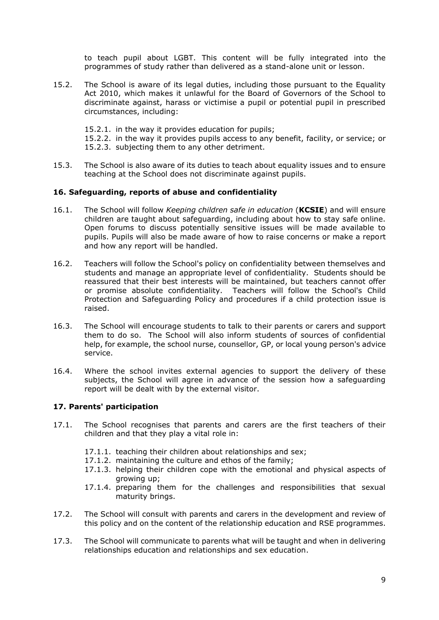to teach pupil about LGBT. This content will be fully integrated into the programmes of study rather than delivered as a stand-alone unit or lesson.

- 15.2. The School is aware of its legal duties, including those pursuant to the Equality Act 2010, which makes it unlawful for the Board of Governors of the School to discriminate against, harass or victimise a pupil or potential pupil in prescribed circumstances, including:
	- 15.2.1. in the way it provides education for pupils;
	- 15.2.2. in the way it provides pupils access to any benefit, facility, or service; or 15.2.3. subjecting them to any other detriment.
- 15.3. The School is also aware of its duties to teach about equality issues and to ensure teaching at the School does not discriminate against pupils.

#### **16. Safeguarding, reports of abuse and confidentiality**

- 16.1. The School will follow *Keeping children safe in education* (**KCSIE**) and will ensure children are taught about safeguarding, including about how to stay safe online. Open forums to discuss potentially sensitive issues will be made available to pupils. Pupils will also be made aware of how to raise concerns or make a report and how any report will be handled.
- 16.2. Teachers will follow the School's policy on confidentiality between themselves and students and manage an appropriate level of confidentiality. Students should be reassured that their best interests will be maintained, but teachers cannot offer or promise absolute confidentiality. Teachers will follow the School's Child Protection and Safeguarding Policy and procedures if a child protection issue is raised.
- 16.3. The School will encourage students to talk to their parents or carers and support them to do so. The School will also inform students of sources of confidential help, for example, the school nurse, counsellor, GP, or local young person's advice service.
- 16.4. Where the school invites external agencies to support the delivery of these subjects, the School will agree in advance of the session how a safeguarding report will be dealt with by the external visitor.

# **17. Parents' participation**

- 17.1. The School recognises that parents and carers are the first teachers of their children and that they play a vital role in:
	- 17.1.1. teaching their children about relationships and sex;
	- 17.1.2. maintaining the culture and ethos of the family;
	- 17.1.3. helping their children cope with the emotional and physical aspects of growing up;
	- 17.1.4. preparing them for the challenges and responsibilities that sexual maturity brings.
- 17.2. The School will consult with parents and carers in the development and review of this policy and on the content of the relationship education and RSE programmes.
- 17.3. The School will communicate to parents what will be taught and when in delivering relationships education and relationships and sex education.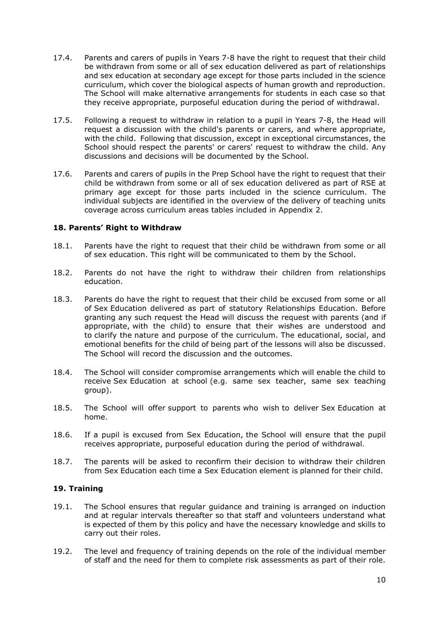- 17.4. Parents and carers of pupils in Years 7-8 have the right to request that their child be withdrawn from some or all of sex education delivered as part of relationships and sex education at secondary age except for those parts included in the science curriculum, which cover the biological aspects of human growth and reproduction. The School will make alternative arrangements for students in each case so that they receive appropriate, purposeful education during the period of withdrawal.
- 17.5. Following a request to withdraw in relation to a pupil in Years 7-8, the Head will request a discussion with the child's parents or carers, and where appropriate, with the child. Following that discussion, except in exceptional circumstances, the School should respect the parents' or carers' request to withdraw the child. Any discussions and decisions will be documented by the School.
- 17.6. Parents and carers of pupils in the Prep School have the right to request that their child be withdrawn from some or all of sex education delivered as part of RSE at primary age except for those parts included in the science curriculum. The individual subjects are identified in the overview of the delivery of teaching units coverage across curriculum areas tables included in Appendix 2.

#### **18. Parents' Right to Withdraw**

- 18.1. Parents have the right to request that their child be withdrawn from some or all of sex education. This right will be communicated to them by the School.
- 18.2. Parents do not have the right to withdraw their children from relationships education.
- 18.3. Parents do have the right to request that their child be excused from some or all of Sex Education delivered as part of statutory Relationships Education. Before granting any such request the Head will discuss the request with parents (and if appropriate, with the child) to ensure that their wishes are understood and to clarify the nature and purpose of the curriculum. The educational, social, and emotional benefits for the child of being part of the lessons will also be discussed. The School will record the discussion and the outcomes.
- 18.4. The School will consider compromise arrangements which will enable the child to receive Sex Education at school (e.g. same sex teacher, same sex teaching group).
- 18.5. The School will offer support to parents who wish to deliver Sex Education at home.
- 18.6. If a pupil is excused from Sex Education, the School will ensure that the pupil receives appropriate, purposeful education during the period of withdrawal.
- 18.7. The parents will be asked to reconfirm their decision to withdraw their children from Sex Education each time a Sex Education element is planned for their child.

#### **19. Training**

- 19.1. The School ensures that regular guidance and training is arranged on induction and at regular intervals thereafter so that staff and volunteers understand what is expected of them by this policy and have the necessary knowledge and skills to carry out their roles.
- 19.2. The level and frequency of training depends on the role of the individual member of staff and the need for them to complete risk assessments as part of their role.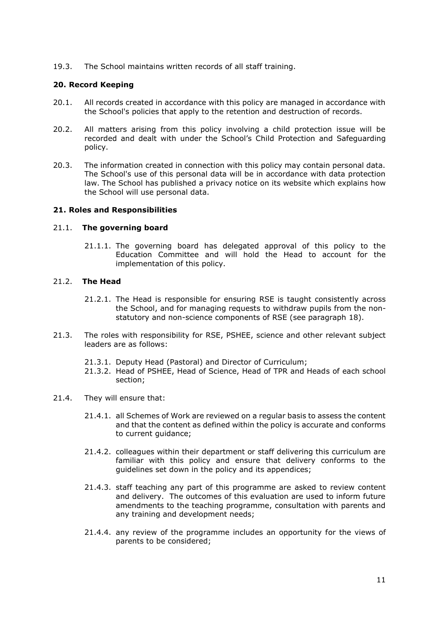19.3. The School maintains written records of all staff training.

#### **20. Record Keeping**

- 20.1. All records created in accordance with this policy are managed in accordance with the School's policies that apply to the retention and destruction of records.
- 20.2. All matters arising from this policy involving a child protection issue will be recorded and dealt with under the School's Child Protection and Safeguarding policy.
- 20.3. The information created in connection with this policy may contain personal data. The School's use of this personal data will be in accordance with data protection law. The School has published a privacy notice on its website which explains how the School will use personal data.

#### **21. Roles and Responsibilities**

#### 21.1. **The governing board**

21.1.1. The governing board has delegated approval of this policy to the Education Committee and will hold the Head to account for the implementation of this policy.

#### 21.2. **The Head**

- 21.2.1. The Head is responsible for ensuring RSE is taught consistently across the School, and for managing requests to withdraw pupils from the nonstatutory and non-science components of RSE (see paragraph 18).
- 21.3. The roles with responsibility for RSE, PSHEE, science and other relevant subject leaders are as follows:
	- 21.3.1. Deputy Head (Pastoral) and Director of Curriculum;
	- 21.3.2. Head of PSHEE, Head of Science, Head of TPR and Heads of each school section;
- 21.4. They will ensure that:
	- 21.4.1. all Schemes of Work are reviewed on a regular basis to assess the content and that the content as defined within the policy is accurate and conforms to current quidance:
	- 21.4.2. colleagues within their department or staff delivering this curriculum are familiar with this policy and ensure that delivery conforms to the guidelines set down in the policy and its appendices;
	- 21.4.3. staff teaching any part of this programme are asked to review content and delivery. The outcomes of this evaluation are used to inform future amendments to the teaching programme, consultation with parents and any training and development needs;
	- 21.4.4. any review of the programme includes an opportunity for the views of parents to be considered;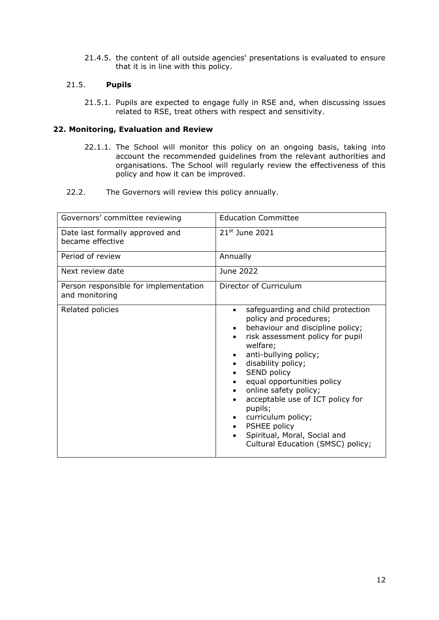21.4.5. the content of all outside agencies' presentations is evaluated to ensure that it is in line with this policy.

### 21.5. **Pupils**

21.5.1. Pupils are expected to engage fully in RSE and, when discussing issues related to RSE, treat others with respect and sensitivity.

# **22. Monitoring, Evaluation and Review**

- 22.1.1. The School will monitor this policy on an ongoing basis, taking into account the recommended guidelines from the relevant authorities and organisations. The School will regularly review the effectiveness of this policy and how it can be improved.
- 22.2. The Governors will review this policy annually.

| Governors' committee reviewing                          | <b>Education Committee</b>                                                                                                                                                                                                                                                                                                                                                                                                                                                         |  |  |
|---------------------------------------------------------|------------------------------------------------------------------------------------------------------------------------------------------------------------------------------------------------------------------------------------------------------------------------------------------------------------------------------------------------------------------------------------------------------------------------------------------------------------------------------------|--|--|
| Date last formally approved and<br>became effective     | 21 <sup>st</sup> June 2021                                                                                                                                                                                                                                                                                                                                                                                                                                                         |  |  |
| Period of review                                        | Annually                                                                                                                                                                                                                                                                                                                                                                                                                                                                           |  |  |
| Next review date                                        | June 2022                                                                                                                                                                                                                                                                                                                                                                                                                                                                          |  |  |
| Person responsible for implementation<br>and monitoring | Director of Curriculum                                                                                                                                                                                                                                                                                                                                                                                                                                                             |  |  |
| Related policies                                        | safeguarding and child protection<br>$\bullet$<br>policy and procedures;<br>behaviour and discipline policy;<br>$\bullet$<br>risk assessment policy for pupil<br>$\bullet$<br>welfare;<br>anti-bullying policy;<br>disability policy;<br>SEND policy<br>$\bullet$<br>equal opportunities policy<br>online safety policy;<br>acceptable use of ICT policy for<br>pupils;<br>curriculum policy;<br>PSHEE policy<br>Spiritual, Moral, Social and<br>Cultural Education (SMSC) policy; |  |  |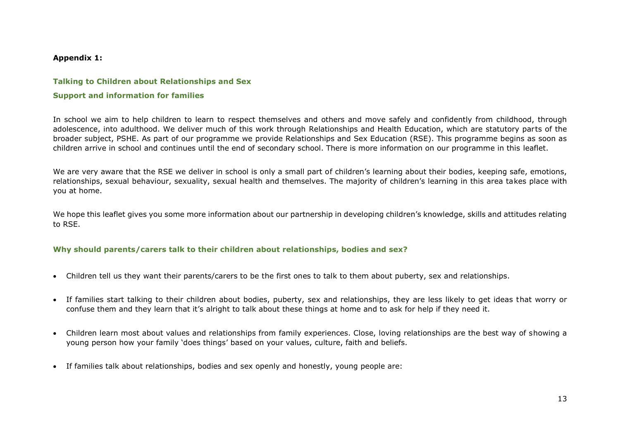#### **Appendix 1:**

#### **Talking to Children about Relationships and Sex**

#### **Support and information for families**

In school we aim to help children to learn to respect themselves and others and move safely and confidently from childhood, through adolescence, into adulthood. We deliver much of this work through Relationships and Health Education, which are statutory parts of the broader subject, PSHE. As part of our programme we provide Relationships and Sex Education (RSE). This programme begins as soon as children arrive in school and continues until the end of secondary school. There is more information on our programme in this leaflet.

We are very aware that the RSE we deliver in school is only a small part of children's learning about their bodies, keeping safe, emotions, relationships, sexual behaviour, sexuality, sexual health and themselves. The majority of children's learning in this area takes place with you at home.

We hope this leaflet gives you some more information about our partnership in developing children's knowledge, skills and attitudes relating to RSE.

#### **Why should parents/carers talk to their children about relationships, bodies and sex?**

- Children tell us they want their parents/carers to be the first ones to talk to them about puberty, sex and relationships.
- If families start talking to their children about bodies, puberty, sex and relationships, they are less likely to get ideas that worry or confuse them and they learn that it's alright to talk about these things at home and to ask for help if they need it.
- Children learn most about values and relationships from family experiences. Close, loving relationships are the best way of showing a young person how your family 'does things' based on your values, culture, faith and beliefs.
- If families talk about relationships, bodies and sex openly and honestly, young people are: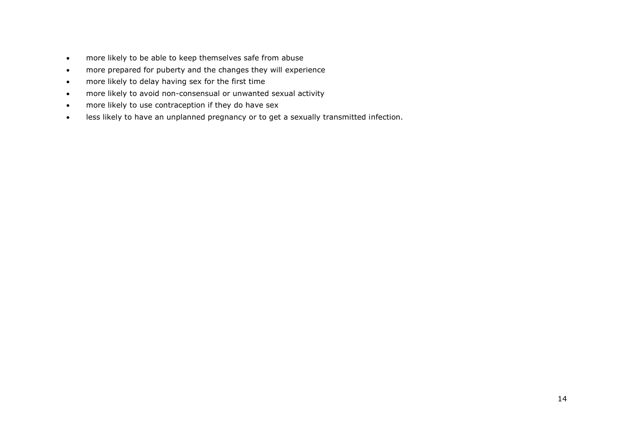- more likely to be able to keep themselves safe from abuse
- more prepared for puberty and the changes they will experience
- more likely to delay having sex for the first time
- more likely to avoid non-consensual or unwanted sexual activity
- more likely to use contraception if they do have sex
- less likely to have an unplanned pregnancy or to get a sexually transmitted infection.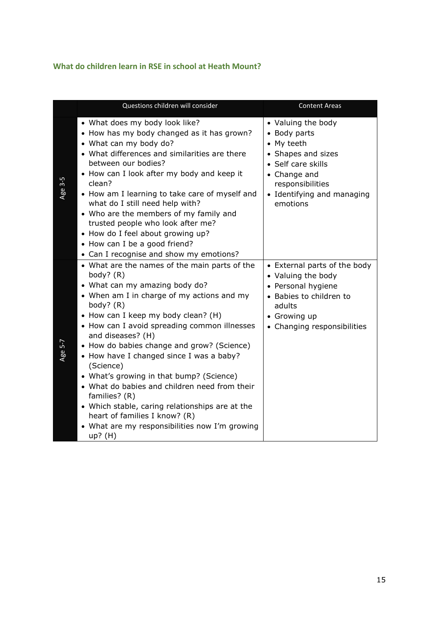# **What do children learn in RSE in school at Heath Mount?**

|         | Questions children will consider                                                                                                                                                                                                                                                                                                                                                                                                                                                                                                                                                                                                                | <b>Content Areas</b>                                                                                                                                                       |
|---------|-------------------------------------------------------------------------------------------------------------------------------------------------------------------------------------------------------------------------------------------------------------------------------------------------------------------------------------------------------------------------------------------------------------------------------------------------------------------------------------------------------------------------------------------------------------------------------------------------------------------------------------------------|----------------------------------------------------------------------------------------------------------------------------------------------------------------------------|
| Age 3-5 | • What does my body look like?<br>• How has my body changed as it has grown?<br>• What can my body do?<br>• What differences and similarities are there<br>between our bodies?<br>• How can I look after my body and keep it<br>clean?<br>• How am I learning to take care of myself and<br>what do I still need help with?<br>• Who are the members of my family and<br>trusted people who look after me?<br>• How do I feel about growing up?<br>• How can I be a good friend?<br>• Can I recognise and show my emotions?                                                                                                                     | • Valuing the body<br>• Body parts<br>• My teeth<br>• Shapes and sizes<br>• Self care skills<br>• Change and<br>responsibilities<br>• Identifying and managing<br>emotions |
| Age 5-7 | • What are the names of the main parts of the<br>body? $(R)$<br>• What can my amazing body do?<br>• When am I in charge of my actions and my<br>body? $(R)$<br>• How can I keep my body clean? (H)<br>• How can I avoid spreading common illnesses<br>and diseases? (H)<br>• How do babies change and grow? (Science)<br>• How have I changed since I was a baby?<br>(Science)<br>• What's growing in that bump? (Science)<br>• What do babies and children need from their<br>families? (R)<br>• Which stable, caring relationships are at the<br>heart of families I know? (R)<br>• What are my responsibilities now I'm growing<br>$up?$ (H) | • External parts of the body<br>• Valuing the body<br>• Personal hygiene<br>• Babies to children to<br>adults<br>• Growing up<br>• Changing responsibilities               |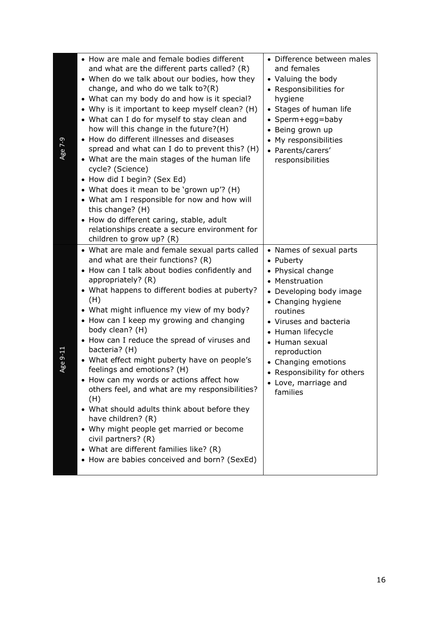| Age 7-9  | • How are male and female bodies different<br>and what are the different parts called? (R)<br>• When do we talk about our bodies, how they<br>change, and who do we talk to?(R)<br>• What can my body do and how is it special?<br>• Why is it important to keep myself clean? (H)<br>• What can I do for myself to stay clean and<br>how will this change in the future?(H)<br>• How do different illnesses and diseases<br>spread and what can I do to prevent this? (H)<br>• What are the main stages of the human life<br>cycle? (Science)<br>• How did I begin? (Sex Ed)<br>• What does it mean to be 'grown up'? (H)<br>• What am I responsible for now and how will<br>this change? (H)<br>• How do different caring, stable, adult<br>relationships create a secure environment for<br>children to grow up? (R) | • Difference between males<br>and females<br>• Valuing the body<br>• Responsibilities for<br>hygiene<br>• Stages of human life<br>• Sperm+egg=baby<br>Being grown up<br>My responsibilities<br>$\bullet$<br>• Parents/carers'<br>responsibilities                                                                                         |
|----------|-------------------------------------------------------------------------------------------------------------------------------------------------------------------------------------------------------------------------------------------------------------------------------------------------------------------------------------------------------------------------------------------------------------------------------------------------------------------------------------------------------------------------------------------------------------------------------------------------------------------------------------------------------------------------------------------------------------------------------------------------------------------------------------------------------------------------|-------------------------------------------------------------------------------------------------------------------------------------------------------------------------------------------------------------------------------------------------------------------------------------------------------------------------------------------|
| Age 9-11 | • What are male and female sexual parts called<br>and what are their functions? (R)<br>• How can I talk about bodies confidently and<br>appropriately? (R)<br>• What happens to different bodies at puberty?<br>(H)<br>• What might influence my view of my body?<br>• How can I keep my growing and changing<br>body clean? (H)<br>• How can I reduce the spread of viruses and<br>bacteria? (H)<br>• What effect might puberty have on people's<br>feelings and emotions? (H)<br>How can my words or actions affect how<br>others feel, and what are my responsibilities?<br>(H)<br>• What should adults think about before they<br>have children? (R)<br>• Why might people get married or become<br>civil partners? (R)<br>• What are different families like? (R)<br>• How are babies conceived and born? (SexEd)  | • Names of sexual parts<br>• Puberty<br>Physical change<br>$\bullet$<br>• Menstruation<br>Developing body image<br>$\bullet$<br>• Changing hygiene<br>routines<br>• Viruses and bacteria<br>• Human lifecycle<br>• Human sexual<br>reproduction<br>• Changing emotions<br>• Responsibility for others<br>• Love, marriage and<br>families |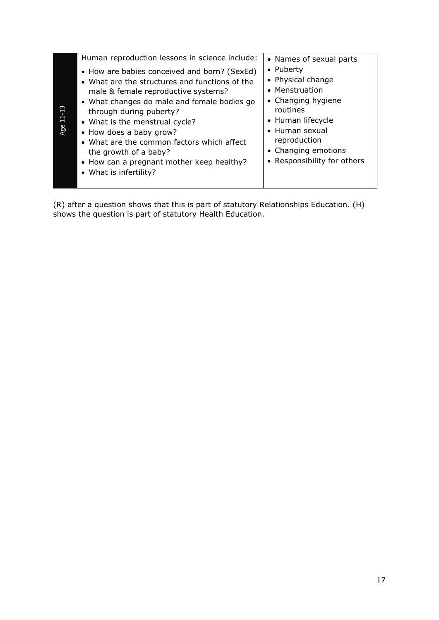|           | Human reproduction lessons in science include:                                                                                                                                                                                                                                                                                                                                                                             | • Names of sexual parts                                                                                                                                                                         |
|-----------|----------------------------------------------------------------------------------------------------------------------------------------------------------------------------------------------------------------------------------------------------------------------------------------------------------------------------------------------------------------------------------------------------------------------------|-------------------------------------------------------------------------------------------------------------------------------------------------------------------------------------------------|
| Age 11-13 | • How are babies conceived and born? (SexEd)<br>• What are the structures and functions of the<br>male & female reproductive systems?<br>• What changes do male and female bodies go<br>through during puberty?<br>• What is the menstrual cycle?<br>• How does a baby grow?<br>• What are the common factors which affect<br>the growth of a baby?<br>• How can a pregnant mother keep healthy?<br>• What is infertility? | • Puberty<br>• Physical change<br>• Menstruation<br>• Changing hygiene<br>routines<br>• Human lifecycle<br>• Human sexual<br>reproduction<br>• Changing emotions<br>• Responsibility for others |

(R) after a question shows that this is part of statutory Relationships Education. (H) shows the question is part of statutory Health Education.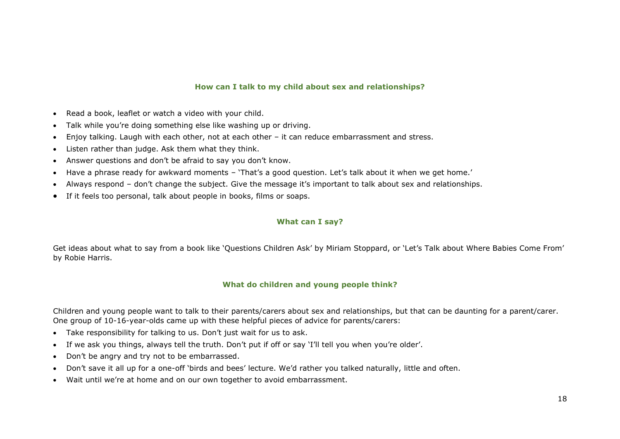#### **How can I talk to my child about sex and relationships?**

- Read a book, leaflet or watch a video with your child.
- Talk while you're doing something else like washing up or driving.
- Enjoy talking. Laugh with each other, not at each other it can reduce embarrassment and stress.
- Listen rather than judge. Ask them what they think.
- Answer questions and don't be afraid to say you don't know.
- Have a phrase ready for awkward moments 'That's a good question. Let's talk about it when we get home.'
- Always respond don't change the subject. Give the message it's important to talk about sex and relationships.
- If it feels too personal, talk about people in books, films or soaps.

#### **What can I say?**

Get ideas about what to say from a book like 'Questions Children Ask' by Miriam Stoppard, or 'Let's Talk about Where Babies Come From' by Robie Harris.

#### **What do children and young people think?**

Children and young people want to talk to their parents/carers about sex and relationships, but that can be daunting for a parent/carer. One group of 10-16-year-olds came up with these helpful pieces of advice for parents/carers:

- Take responsibility for talking to us. Don't just wait for us to ask.
- If we ask you things, always tell the truth. Don't put if off or say 'I'll tell you when you're older'.
- Don't be angry and try not to be embarrassed.
- Don't save it all up for a one-off 'birds and bees' lecture. We'd rather you talked naturally, little and often.
- Wait until we're at home and on our own together to avoid embarrassment.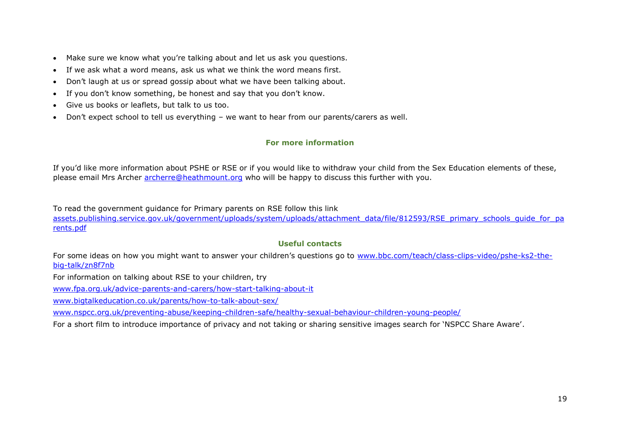- Make sure we know what you're talking about and let us ask you questions.
- If we ask what a word means, ask us what we think the word means first.
- Don't laugh at us or spread gossip about what we have been talking about.
- If you don't know something, be honest and say that you don't know.
- Give us books or leaflets, but talk to us too.
- Don't expect school to tell us everything we want to hear from our parents/carers as well.

#### **For more information**

If you'd like more information about PSHE or RSE or if you would like to withdraw your child from the Sex Education elements of these, please email Mrs Archer [archerre@heathmount.org](mailto:archerre@heathmount.org) who will be happy to discuss this further with you.

To read the government guidance for Primary parents on RSE follow this link

[assets.publishing.service.gov.uk/government/uploads/system/uploads/attachment\\_data/file/812593/RSE\\_primary\\_schools\\_guide\\_for\\_pa](https://assets.publishing.service.gov.uk/government/uploads/system/uploads/attachment_data/file/812593/RSE_primary_schools_guide_for_parents.pdf) [rents.pdf](https://assets.publishing.service.gov.uk/government/uploads/system/uploads/attachment_data/file/812593/RSE_primary_schools_guide_for_parents.pdf)

#### **Useful contacts**

For some ideas on how you might want to answer your children's questions go to [www.bbc.com/teach/class-clips-video/pshe-ks2-the](file://///CCCAUSER07/userslocal/cx299/Desktop/www.bbc.com/teach/class-clips-video/pshe-ks2-the-big-talk/zn8f7nb)[big-talk/zn8f7nb](file://///CCCAUSER07/userslocal/cx299/Desktop/www.bbc.com/teach/class-clips-video/pshe-ks2-the-big-talk/zn8f7nb)

For information on talking about RSE to your children, try

[www.fpa.org.uk/advice-parents-and-carers/how-start-talking-about-it](http://www.fpa.org.uk/advice-parents-and-carers/how-start-talking-about-it)

[www.bigtalkeducation.co.uk/parents/how-to-talk-about-sex/](http://www.bigtalkeducation.co.uk/parents/how-to-talk-about-sex/)

[www.nspcc.org.uk/preventing-abuse/keeping-children-safe/healthy-sexual-behaviour-children-young-people/](http://www.nspcc.org.uk/preventing-abuse/keeping-children-safe/healthy-sexual-behaviour-children-young-people/)

For a short film to introduce importance of privacy and not taking or sharing sensitive images search for 'NSPCC Share Aware'.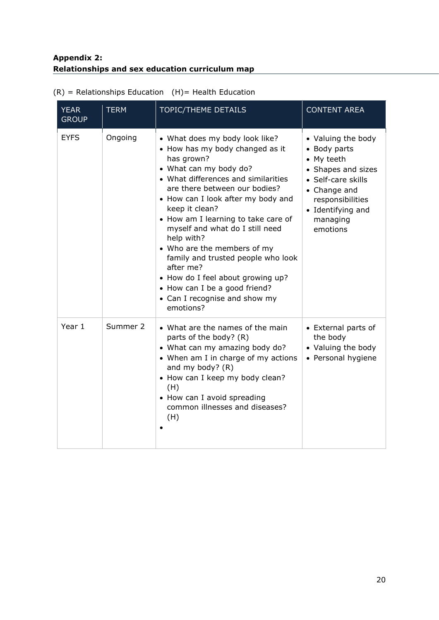# **Appendix 2: Relationships and sex education curriculum map**

| <b>YEAR</b><br><b>GROUP</b> | <b>TERM</b> | <b>TOPIC/THEME DETAILS</b>                                                                                                                                                                                                                                                                                                                                                                                                                                                                                                              | <b>CONTENT AREA</b>                                                                                                                                                           |
|-----------------------------|-------------|-----------------------------------------------------------------------------------------------------------------------------------------------------------------------------------------------------------------------------------------------------------------------------------------------------------------------------------------------------------------------------------------------------------------------------------------------------------------------------------------------------------------------------------------|-------------------------------------------------------------------------------------------------------------------------------------------------------------------------------|
| <b>EYFS</b>                 | Ongoing     | • What does my body look like?<br>• How has my body changed as it<br>has grown?<br>• What can my body do?<br>• What differences and similarities<br>are there between our bodies?<br>• How can I look after my body and<br>keep it clean?<br>• How am I learning to take care of<br>myself and what do I still need<br>help with?<br>• Who are the members of my<br>family and trusted people who look<br>after me?<br>• How do I feel about growing up?<br>• How can I be a good friend?<br>• Can I recognise and show my<br>emotions? | • Valuing the body<br>• Body parts<br>• My teeth<br>• Shapes and sizes<br>• Self-care skills<br>• Change and<br>responsibilities<br>• Identifying and<br>managing<br>emotions |
| Year 1                      | Summer 2    | • What are the names of the main<br>parts of the body? (R)<br>• What can my amazing body do?<br>• When am I in charge of my actions<br>and my body? (R)<br>• How can I keep my body clean?<br>(H)<br>• How can I avoid spreading<br>common illnesses and diseases?<br>(H)                                                                                                                                                                                                                                                               | • External parts of<br>the body<br>• Valuing the body<br>• Personal hygiene                                                                                                   |

# $(R)$  = Relationships Education  $(H)$  = Health Education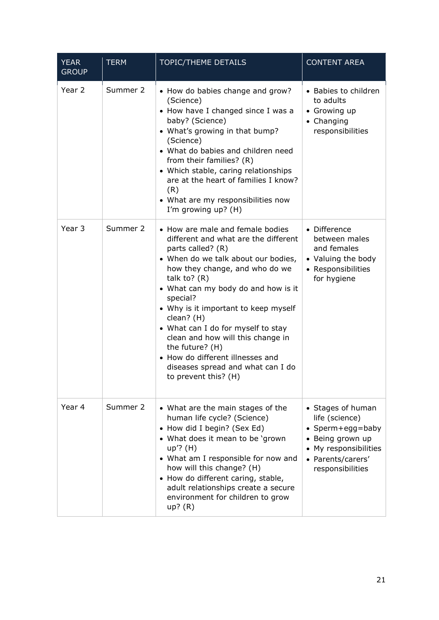| <b>YEAR</b><br><b>GROUP</b> | <b>TERM</b> | <b>TOPIC/THEME DETAILS</b>                                                                                                                                                                                                                                                                                                                                                                                                                                                                       | <b>CONTENT AREA</b>                                                                                                                           |
|-----------------------------|-------------|--------------------------------------------------------------------------------------------------------------------------------------------------------------------------------------------------------------------------------------------------------------------------------------------------------------------------------------------------------------------------------------------------------------------------------------------------------------------------------------------------|-----------------------------------------------------------------------------------------------------------------------------------------------|
| Year 2                      | Summer 2    | • How do babies change and grow?<br>(Science)<br>• How have I changed since I was a<br>baby? (Science)<br>• What's growing in that bump?<br>(Science)<br>• What do babies and children need<br>from their families? (R)<br>• Which stable, caring relationships<br>are at the heart of families I know?<br>(R)<br>• What are my responsibilities now<br>I'm growing up? (H)                                                                                                                      | • Babies to children<br>to adults<br>• Growing up<br>• Changing<br>responsibilities                                                           |
| Year 3                      | Summer 2    | • How are male and female bodies<br>different and what are the different<br>parts called? (R)<br>• When do we talk about our bodies,<br>how they change, and who do we<br>talk to? $(R)$<br>• What can my body do and how is it<br>special?<br>• Why is it important to keep myself<br>clean? (H)<br>• What can I do for myself to stay<br>clean and how will this change in<br>the future? (H)<br>• How do different illnesses and<br>diseases spread and what can I do<br>to prevent this? (H) | • Difference<br>between males<br>and females<br>• Valuing the body<br>• Responsibilities<br>for hygiene                                       |
| Year 4                      | Summer 2    | • What are the main stages of the<br>human life cycle? (Science)<br>• How did I begin? (Sex Ed)<br>• What does it mean to be 'grown<br>$up$ ? (H)<br>• What am I responsible for now and<br>how will this change? (H)<br>• How do different caring, stable,<br>adult relationships create a secure<br>environment for children to grow<br>$up?$ (R)                                                                                                                                              | • Stages of human<br>life (science)<br>• Sperm+egg=baby<br>• Being grown up<br>• My responsibilities<br>• Parents/carers'<br>responsibilities |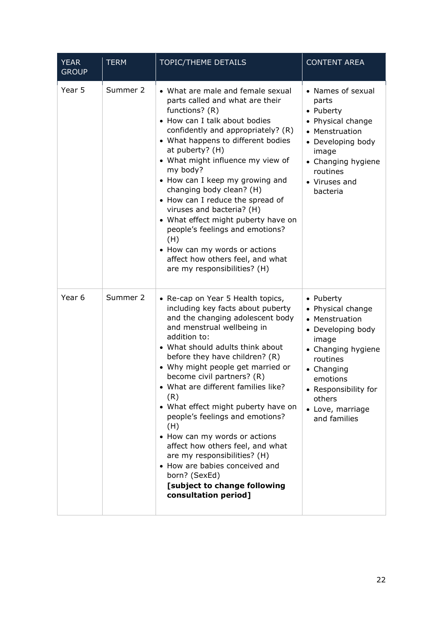| <b>YEAR</b><br><b>GROUP</b> | <b>TERM</b> | TOPIC/THEME DETAILS                                                                                                                                                                                                                                                                                                                                                                                                                                                                                                                                                                                                                              | <b>CONTENT AREA</b>                                                                                                                                                                                              |
|-----------------------------|-------------|--------------------------------------------------------------------------------------------------------------------------------------------------------------------------------------------------------------------------------------------------------------------------------------------------------------------------------------------------------------------------------------------------------------------------------------------------------------------------------------------------------------------------------------------------------------------------------------------------------------------------------------------------|------------------------------------------------------------------------------------------------------------------------------------------------------------------------------------------------------------------|
| Year 5                      | Summer 2    | • What are male and female sexual<br>parts called and what are their<br>functions? (R)<br>• How can I talk about bodies<br>confidently and appropriately? (R)<br>• What happens to different bodies<br>at puberty? (H)<br>• What might influence my view of<br>my body?<br>• How can I keep my growing and<br>changing body clean? (H)<br>• How can I reduce the spread of<br>viruses and bacteria? (H)<br>• What effect might puberty have on<br>people's feelings and emotions?<br>(H)<br>• How can my words or actions<br>affect how others feel, and what<br>are my responsibilities? (H)                                                    | • Names of sexual<br>parts<br>• Puberty<br>• Physical change<br>• Menstruation<br>• Developing body<br>image<br>• Changing hygiene<br>routines<br>• Viruses and<br>bacteria                                      |
| Year 6                      | Summer 2    | • Re-cap on Year 5 Health topics,<br>including key facts about puberty<br>and the changing adolescent body<br>and menstrual wellbeing in<br>addition to:<br>• What should adults think about<br>before they have children? (R)<br>• Why might people get married or<br>become civil partners? (R)<br>• What are different families like?<br>(R)<br>• What effect might puberty have on<br>people's feelings and emotions?<br>(H)<br>• How can my words or actions<br>affect how others feel, and what<br>are my responsibilities? (H)<br>• How are babies conceived and<br>born? (SexEd)<br>[subject to change following<br>consultation period] | • Puberty<br>• Physical change<br>• Menstruation<br>• Developing body<br>image<br>• Changing hygiene<br>routines<br>• Changing<br>emotions<br>• Responsibility for<br>others<br>• Love, marriage<br>and families |